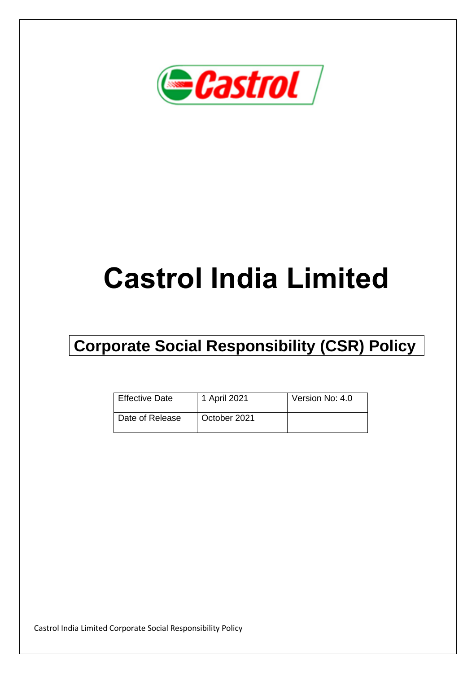

# **Castrol India Limited**

## **Corporate Social Responsibility (CSR) Policy**

| <b>Effective Date</b> | 1 April 2021 | Version No: 4.0 |
|-----------------------|--------------|-----------------|
| Date of Release       | October 2021 |                 |

Castrol India Limited Corporate Social Responsibility Policy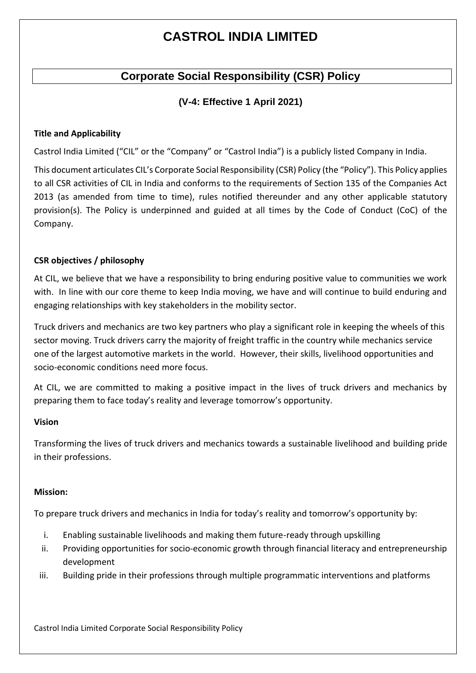## **CASTROL INDIA LIMITED**

### **Corporate Social Responsibility (CSR) Policy**

#### **(V-4: Effective 1 April 2021)**

#### **Title and Applicability**

Castrol India Limited ("CIL" or the "Company" or "Castrol India") is a publicly listed Company in India.

This document articulates CIL's Corporate Social Responsibility (CSR) Policy (the "Policy"). This Policy applies to all CSR activities of CIL in India and conforms to the requirements of Section 135 of the Companies Act 2013 (as amended from time to time), rules notified thereunder and any other applicable statutory provision(s). The Policy is underpinned and guided at all times by the Code of Conduct (CoC) of the Company.

#### **CSR objectives / philosophy**

At CIL, we believe that we have a responsibility to bring enduring positive value to communities we work with. In line with our core theme to keep India moving, we have and will continue to build enduring and engaging relationships with key stakeholders in the mobility sector.

Truck drivers and mechanics are two key partners who play a significant role in keeping the wheels of this sector moving. Truck drivers carry the majority of freight traffic in the country while mechanics service one of the largest automotive markets in the world. However, their skills, livelihood opportunities and socio-economic conditions need more focus.

At CIL, we are committed to making a positive impact in the lives of truck drivers and mechanics by preparing them to face today's reality and leverage tomorrow's opportunity.

#### **Vision**

Transforming the lives of truck drivers and mechanics towards a sustainable livelihood and building pride in their professions.

#### **Mission:**

To prepare truck drivers and mechanics in India for today's reality and tomorrow's opportunity by:

- i. Enabling sustainable livelihoods and making them future-ready through upskilling
- ii. Providing opportunities for socio-economic growth through financial literacy and entrepreneurship development
- iii. Building pride in their professions through multiple programmatic interventions and platforms

Castrol India Limited Corporate Social Responsibility Policy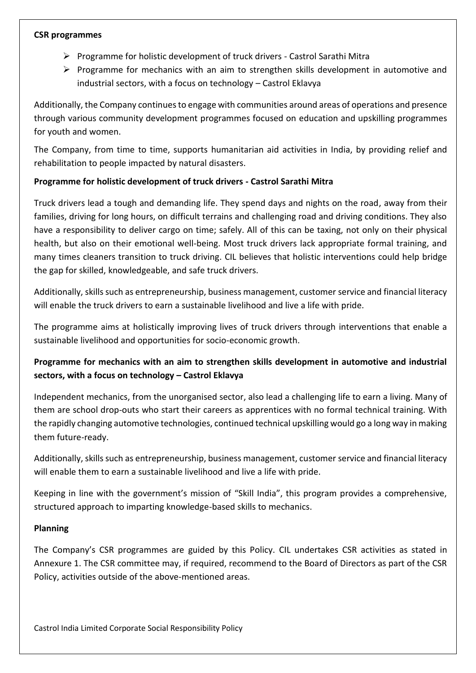#### **CSR programmes**

- ➢ Programme for holistic development of truck drivers Castrol Sarathi Mitra
- ➢ Programme for mechanics with an aim to strengthen skills development in automotive and industrial sectors, with a focus on technology – Castrol Eklavya

Additionally, the Company continuesto engage with communities around areas of operations and presence through various community development programmes focused on education and upskilling programmes for youth and women.

The Company, from time to time, supports humanitarian aid activities in India, by providing relief and rehabilitation to people impacted by natural disasters.

#### **Programme for holistic development of truck drivers - Castrol Sarathi Mitra**

Truck drivers lead a tough and demanding life. They spend days and nights on the road, away from their families, driving for long hours, on difficult terrains and challenging road and driving conditions. They also have a responsibility to deliver cargo on time; safely. All of this can be taxing, not only on their physical health, but also on their emotional well-being. Most truck drivers lack appropriate formal training, and many times cleaners transition to truck driving. CIL believes that holistic interventions could help bridge the gap for skilled, knowledgeable, and safe truck drivers.

Additionally, skills such as entrepreneurship, business management, customer service and financial literacy will enable the truck drivers to earn a sustainable livelihood and live a life with pride.

The programme aims at holistically improving lives of truck drivers through interventions that enable a sustainable livelihood and opportunities for socio-economic growth.

#### **Programme for mechanics with an aim to strengthen skills development in automotive and industrial sectors, with a focus on technology – Castrol Eklavya**

Independent mechanics, from the unorganised sector, also lead a challenging life to earn a living. Many of them are school drop-outs who start their careers as apprentices with no formal technical training. With the rapidly changing automotive technologies, continued technical upskilling would go a long way in making them future-ready.

Additionally, skills such as entrepreneurship, business management, customer service and financial literacy will enable them to earn a sustainable livelihood and live a life with pride.

Keeping in line with the government's mission of "Skill India", this program provides a comprehensive, structured approach to imparting knowledge-based skills to mechanics.

#### **Planning**

The Company's CSR programmes are guided by this Policy. CIL undertakes CSR activities as stated in Annexure 1. The CSR committee may, if required, recommend to the Board of Directors as part of the CSR Policy, activities outside of the above-mentioned areas.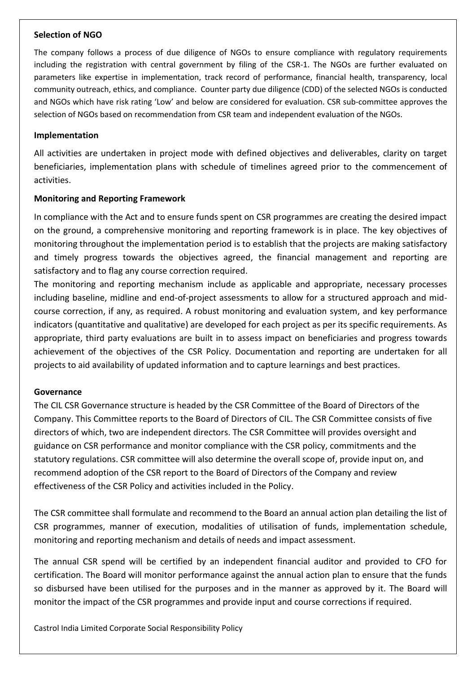#### **Selection of NGO**

The company follows a process of due diligence of NGOs to ensure compliance with regulatory requirements including the registration with central government by filing of the CSR-1. The NGOs are further evaluated on parameters like expertise in implementation, track record of performance, financial health, transparency, local community outreach, ethics, and compliance. Counter party due diligence (CDD) of the selected NGOs is conducted and NGOs which have risk rating 'Low' and below are considered for evaluation. CSR sub-committee approves the selection of NGOs based on recommendation from CSR team and independent evaluation of the NGOs.

#### **Implementation**

All activities are undertaken in project mode with defined objectives and deliverables, clarity on target beneficiaries, implementation plans with schedule of timelines agreed prior to the commencement of activities.

#### **Monitoring and Reporting Framework**

In compliance with the Act and to ensure funds spent on CSR programmes are creating the desired impact on the ground, a comprehensive monitoring and reporting framework is in place. The key objectives of monitoring throughout the implementation period is to establish that the projects are making satisfactory and timely progress towards the objectives agreed, the financial management and reporting are satisfactory and to flag any course correction required.

The monitoring and reporting mechanism include as applicable and appropriate, necessary processes including baseline, midline and end-of-project assessments to allow for a structured approach and midcourse correction, if any, as required. A robust monitoring and evaluation system, and key performance indicators (quantitative and qualitative) are developed for each project as per its specific requirements. As appropriate, third party evaluations are built in to assess impact on beneficiaries and progress towards achievement of the objectives of the CSR Policy. Documentation and reporting are undertaken for all projects to aid availability of updated information and to capture learnings and best practices.

#### **Governance**

The CIL CSR Governance structure is headed by the CSR Committee of the Board of Directors of the Company. This Committee reports to the Board of Directors of CIL. The CSR Committee consists of five directors of which, two are independent directors. The CSR Committee will provides oversight and guidance on CSR performance and monitor compliance with the CSR policy, commitments and the statutory regulations. CSR committee will also determine the overall scope of, provide input on, and recommend adoption of the CSR report to the Board of Directors of the Company and review effectiveness of the CSR Policy and activities included in the Policy.

The CSR committee shall formulate and recommend to the Board an annual action plan detailing the list of CSR programmes, manner of execution, modalities of utilisation of funds, implementation schedule, monitoring and reporting mechanism and details of needs and impact assessment.

The annual CSR spend will be certified by an independent financial auditor and provided to CFO for certification. The Board will monitor performance against the annual action plan to ensure that the funds so disbursed have been utilised for the purposes and in the manner as approved by it. The Board will monitor the impact of the CSR programmes and provide input and course corrections if required.

Castrol India Limited Corporate Social Responsibility Policy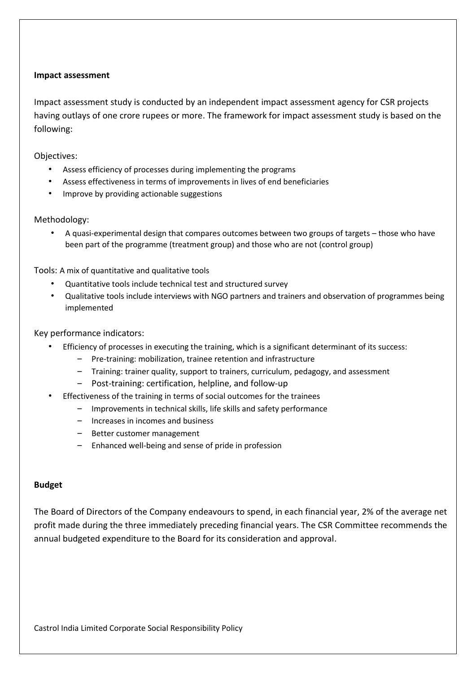#### **Impact assessment**

Impact assessment study is conducted by an independent impact assessment agency for CSR projects having outlays of one crore rupees or more. The framework for impact assessment study is based on the following:

Objectives:

- Assess efficiency of processes during implementing the programs
- Assess effectiveness in terms of improvements in lives of end beneficiaries
- Improve by providing actionable suggestions

#### Methodology:

• A quasi-experimental design that compares outcomes between two groups of targets – those who have been part of the programme (treatment group) and those who are not (control group)

#### Tools: A mix of quantitative and qualitative tools

- Quantitative tools include technical test and structured survey
- Qualitative tools include interviews with NGO partners and trainers and observation of programmes being implemented

#### Key performance indicators:

- Efficiency of processes in executing the training, which is a significant determinant of its success:
	- ‒ Pre-training: mobilization, trainee retention and infrastructure
	- ‒ Training: trainer quality, support to trainers, curriculum, pedagogy, and assessment
	- ‒ Post-training: certification, helpline, and follow-up
- Effectiveness of the training in terms of social outcomes for the trainees
	- ‒ Improvements in technical skills, life skills and safety performance
	- ‒ Increases in incomes and business
	- Better customer management
	- ‒ Enhanced well-being and sense of pride in profession

#### **Budget**

The Board of Directors of the Company endeavours to spend, in each financial year, 2% of the average net profit made during the three immediately preceding financial years. The CSR Committee recommends the annual budgeted expenditure to the Board for its consideration and approval.